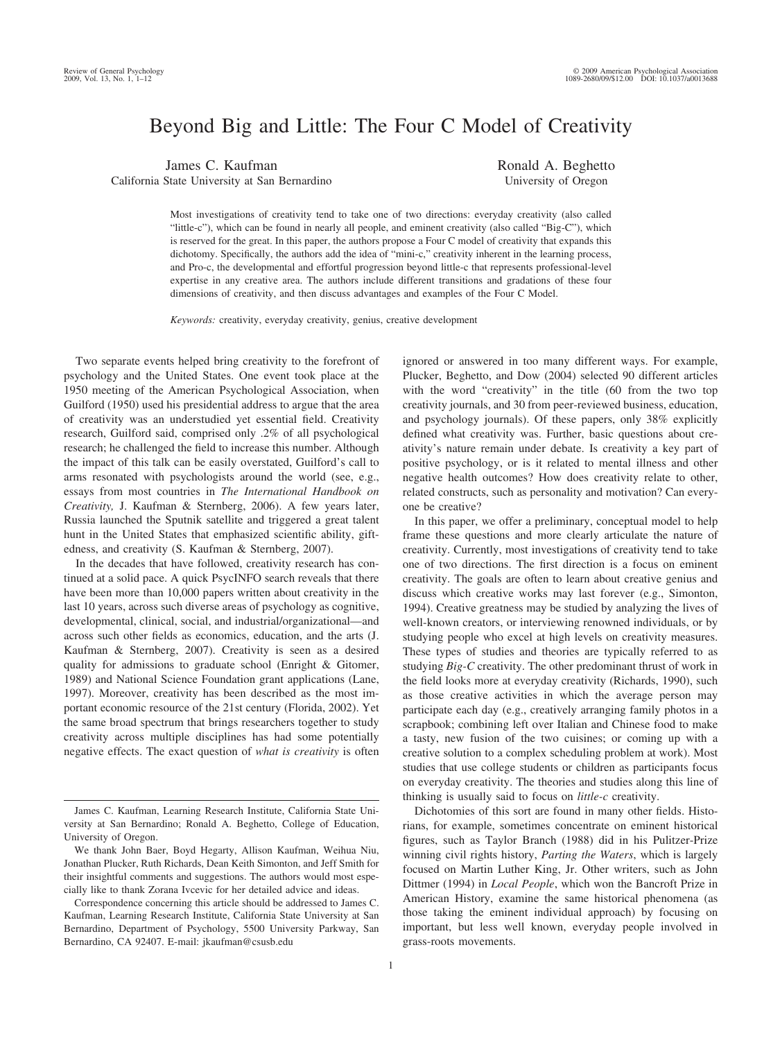# Beyond Big and Little: The Four C Model of Creativity

James C. Kaufman California State University at San Bernardino Ronald A. Beghetto University of Oregon

Most investigations of creativity tend to take one of two directions: everyday creativity (also called "little-c"), which can be found in nearly all people, and eminent creativity (also called "Big-C"), which is reserved for the great. In this paper, the authors propose a Four C model of creativity that expands this dichotomy. Specifically, the authors add the idea of "mini-c," creativity inherent in the learning process, and Pro-c, the developmental and effortful progression beyond little-c that represents professional-level expertise in any creative area. The authors include different transitions and gradations of these four dimensions of creativity, and then discuss advantages and examples of the Four C Model.

*Keywords:* creativity, everyday creativity, genius, creative development

Two separate events helped bring creativity to the forefront of psychology and the United States. One event took place at the 1950 meeting of the American Psychological Association, when Guilford (1950) used his presidential address to argue that the area of creativity was an understudied yet essential field. Creativity research, Guilford said, comprised only .2% of all psychological research; he challenged the field to increase this number. Although the impact of this talk can be easily overstated, Guilford's call to arms resonated with psychologists around the world (see, e.g., essays from most countries in *The International Handbook on Creativity,* J. Kaufman & Sternberg, 2006). A few years later, Russia launched the Sputnik satellite and triggered a great talent hunt in the United States that emphasized scientific ability, giftedness, and creativity (S. Kaufman & Sternberg, 2007).

In the decades that have followed, creativity research has continued at a solid pace. A quick PsycINFO search reveals that there have been more than 10,000 papers written about creativity in the last 10 years, across such diverse areas of psychology as cognitive, developmental, clinical, social, and industrial/organizational—and across such other fields as economics, education, and the arts (J. Kaufman & Sternberg, 2007). Creativity is seen as a desired quality for admissions to graduate school (Enright & Gitomer, 1989) and National Science Foundation grant applications (Lane, 1997). Moreover, creativity has been described as the most important economic resource of the 21st century (Florida, 2002). Yet the same broad spectrum that brings researchers together to study creativity across multiple disciplines has had some potentially negative effects. The exact question of *what is creativity* is often

Correspondence concerning this article should be addressed to James C. Kaufman, Learning Research Institute, California State University at San Bernardino, Department of Psychology, 5500 University Parkway, San Bernardino, CA 92407. E-mail: jkaufman@csusb.edu

ignored or answered in too many different ways. For example, Plucker, Beghetto, and Dow (2004) selected 90 different articles with the word "creativity" in the title (60 from the two top creativity journals, and 30 from peer-reviewed business, education, and psychology journals). Of these papers, only 38% explicitly defined what creativity was. Further, basic questions about creativity's nature remain under debate. Is creativity a key part of positive psychology, or is it related to mental illness and other negative health outcomes? How does creativity relate to other, related constructs, such as personality and motivation? Can everyone be creative?

In this paper, we offer a preliminary, conceptual model to help frame these questions and more clearly articulate the nature of creativity. Currently, most investigations of creativity tend to take one of two directions. The first direction is a focus on eminent creativity. The goals are often to learn about creative genius and discuss which creative works may last forever (e.g., Simonton, 1994). Creative greatness may be studied by analyzing the lives of well-known creators, or interviewing renowned individuals, or by studying people who excel at high levels on creativity measures. These types of studies and theories are typically referred to as studying *Big-C* creativity. The other predominant thrust of work in the field looks more at everyday creativity (Richards, 1990), such as those creative activities in which the average person may participate each day (e.g., creatively arranging family photos in a scrapbook; combining left over Italian and Chinese food to make a tasty, new fusion of the two cuisines; or coming up with a creative solution to a complex scheduling problem at work). Most studies that use college students or children as participants focus on everyday creativity. The theories and studies along this line of thinking is usually said to focus on *little-c* creativity.

Dichotomies of this sort are found in many other fields. Historians, for example, sometimes concentrate on eminent historical figures, such as Taylor Branch (1988) did in his Pulitzer-Prize winning civil rights history, *Parting the Waters*, which is largely focused on Martin Luther King, Jr. Other writers, such as John Dittmer (1994) in *Local People*, which won the Bancroft Prize in American History, examine the same historical phenomena (as those taking the eminent individual approach) by focusing on important, but less well known, everyday people involved in grass-roots movements.

James C. Kaufman, Learning Research Institute, California State University at San Bernardino; Ronald A. Beghetto, College of Education, University of Oregon.

We thank John Baer, Boyd Hegarty, Allison Kaufman, Weihua Niu, Jonathan Plucker, Ruth Richards, Dean Keith Simonton, and Jeff Smith for their insightful comments and suggestions. The authors would most especially like to thank Zorana Ivcevic for her detailed advice and ideas.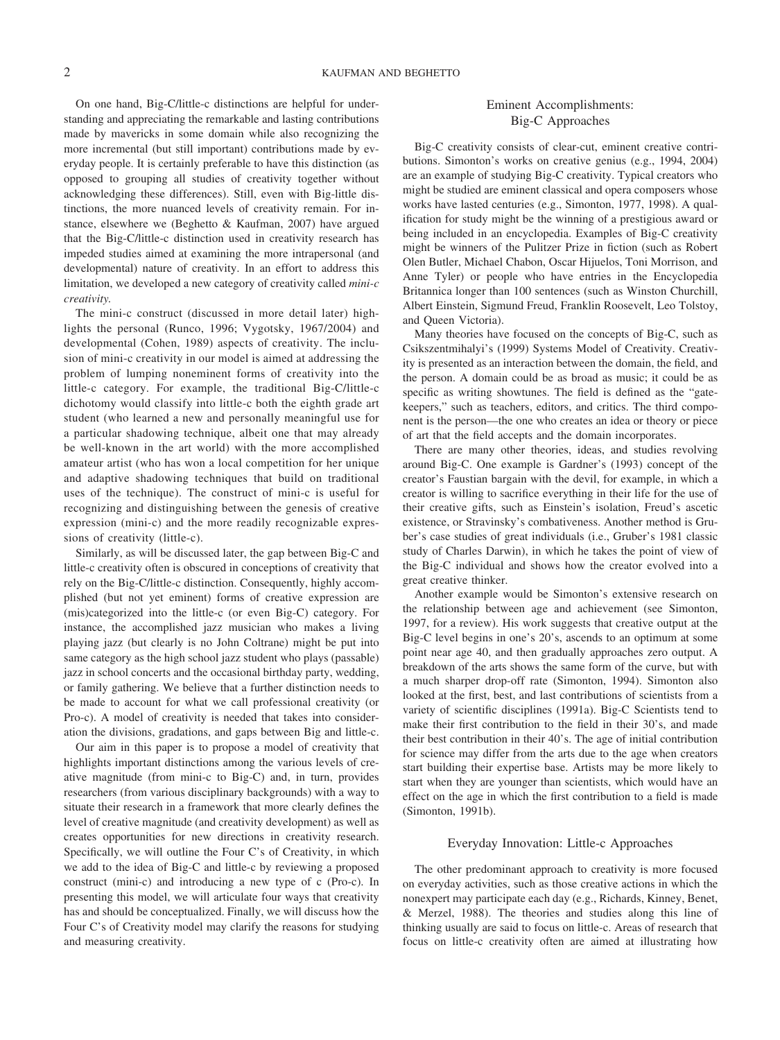On one hand, Big-C/little-c distinctions are helpful for understanding and appreciating the remarkable and lasting contributions made by mavericks in some domain while also recognizing the more incremental (but still important) contributions made by everyday people. It is certainly preferable to have this distinction (as opposed to grouping all studies of creativity together without acknowledging these differences). Still, even with Big-little distinctions, the more nuanced levels of creativity remain. For instance, elsewhere we (Beghetto & Kaufman, 2007) have argued that the Big-C/little-c distinction used in creativity research has impeded studies aimed at examining the more intrapersonal (and developmental) nature of creativity. In an effort to address this limitation, we developed a new category of creativity called *mini-c creativity.*

The mini-c construct (discussed in more detail later) highlights the personal (Runco, 1996; Vygotsky, 1967/2004) and developmental (Cohen, 1989) aspects of creativity. The inclusion of mini-c creativity in our model is aimed at addressing the problem of lumping noneminent forms of creativity into the little-c category. For example, the traditional Big-C/little-c dichotomy would classify into little-c both the eighth grade art student (who learned a new and personally meaningful use for a particular shadowing technique, albeit one that may already be well-known in the art world) with the more accomplished amateur artist (who has won a local competition for her unique and adaptive shadowing techniques that build on traditional uses of the technique). The construct of mini-c is useful for recognizing and distinguishing between the genesis of creative expression (mini-c) and the more readily recognizable expressions of creativity (little-c).

Similarly, as will be discussed later, the gap between Big-C and little-c creativity often is obscured in conceptions of creativity that rely on the Big-C/little-c distinction. Consequently, highly accomplished (but not yet eminent) forms of creative expression are (mis)categorized into the little-c (or even Big-C) category. For instance, the accomplished jazz musician who makes a living playing jazz (but clearly is no John Coltrane) might be put into same category as the high school jazz student who plays (passable) jazz in school concerts and the occasional birthday party, wedding, or family gathering. We believe that a further distinction needs to be made to account for what we call professional creativity (or Pro-c). A model of creativity is needed that takes into consideration the divisions, gradations, and gaps between Big and little-c.

Our aim in this paper is to propose a model of creativity that highlights important distinctions among the various levels of creative magnitude (from mini-c to Big-C) and, in turn, provides researchers (from various disciplinary backgrounds) with a way to situate their research in a framework that more clearly defines the level of creative magnitude (and creativity development) as well as creates opportunities for new directions in creativity research. Specifically, we will outline the Four C's of Creativity, in which we add to the idea of Big-C and little-c by reviewing a proposed construct (mini-c) and introducing a new type of c (Pro-c). In presenting this model, we will articulate four ways that creativity has and should be conceptualized. Finally, we will discuss how the Four C's of Creativity model may clarify the reasons for studying and measuring creativity.

### Eminent Accomplishments: Big-C Approaches

Big-C creativity consists of clear-cut, eminent creative contributions. Simonton's works on creative genius (e.g., 1994, 2004) are an example of studying Big-C creativity. Typical creators who might be studied are eminent classical and opera composers whose works have lasted centuries (e.g., Simonton, 1977, 1998). A qualification for study might be the winning of a prestigious award or being included in an encyclopedia. Examples of Big-C creativity might be winners of the Pulitzer Prize in fiction (such as Robert Olen Butler, Michael Chabon, Oscar Hijuelos, Toni Morrison, and Anne Tyler) or people who have entries in the Encyclopedia Britannica longer than 100 sentences (such as Winston Churchill, Albert Einstein, Sigmund Freud, Franklin Roosevelt, Leo Tolstoy, and Queen Victoria).

Many theories have focused on the concepts of Big-C, such as Csikszentmihalyi's (1999) Systems Model of Creativity. Creativity is presented as an interaction between the domain, the field, and the person. A domain could be as broad as music; it could be as specific as writing showtunes. The field is defined as the "gatekeepers," such as teachers, editors, and critics. The third component is the person—the one who creates an idea or theory or piece of art that the field accepts and the domain incorporates.

There are many other theories, ideas, and studies revolving around Big-C. One example is Gardner's (1993) concept of the creator's Faustian bargain with the devil, for example, in which a creator is willing to sacrifice everything in their life for the use of their creative gifts, such as Einstein's isolation, Freud's ascetic existence, or Stravinsky's combativeness. Another method is Gruber's case studies of great individuals (i.e., Gruber's 1981 classic study of Charles Darwin), in which he takes the point of view of the Big-C individual and shows how the creator evolved into a great creative thinker.

Another example would be Simonton's extensive research on the relationship between age and achievement (see Simonton, 1997, for a review). His work suggests that creative output at the Big-C level begins in one's 20's, ascends to an optimum at some point near age 40, and then gradually approaches zero output. A breakdown of the arts shows the same form of the curve, but with a much sharper drop-off rate (Simonton, 1994). Simonton also looked at the first, best, and last contributions of scientists from a variety of scientific disciplines (1991a). Big-C Scientists tend to make their first contribution to the field in their 30's, and made their best contribution in their 40's. The age of initial contribution for science may differ from the arts due to the age when creators start building their expertise base. Artists may be more likely to start when they are younger than scientists, which would have an effect on the age in which the first contribution to a field is made (Simonton, 1991b).

### Everyday Innovation: Little-c Approaches

The other predominant approach to creativity is more focused on everyday activities, such as those creative actions in which the nonexpert may participate each day (e.g., Richards, Kinney, Benet, & Merzel, 1988). The theories and studies along this line of thinking usually are said to focus on little-c. Areas of research that focus on little-c creativity often are aimed at illustrating how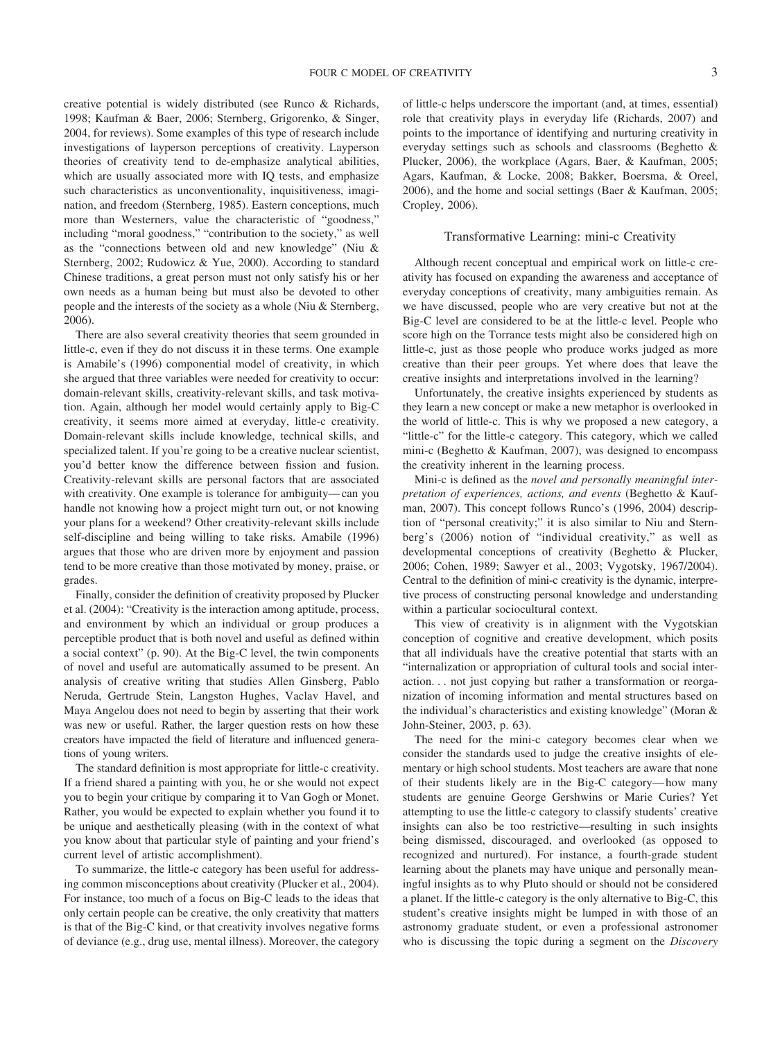creative potential is widely distributed (see Runco & Richards, 1998; Kaufman & Baer, 2006; Sternberg, Grigorenko, & Singer, 2004, for reviews). Some examples of this type of research include investigations of layperson perceptions of creativity. Layperson theories of creativity tend to de-emphasize analytical abilities, which are usually associated more with IQ tests, and emphasize such characteristics as unconventionality, inquisitiveness, imagination, and freedom (Sternberg, 1985). Eastern conceptions, much more than Westerners, value the characteristic of "goodness," including "moral goodness," "contribution to the society," as well as the "connections between old and new knowledge" (Niu & Sternberg, 2002; Rudowicz & Yue, 2000). According to standard Chinese traditions, a great person must not only satisfy his or her own needs as a human being but must also be devoted to other people and the interests of the society as a whole (Niu & Sternberg, 2006).

There are also several creativity theories that seem grounded in little-c, even if they do not discuss it in these terms. One example is Amabile's (1996) componential model of creativity, in which she argued that three variables were needed for creativity to occur: domain-relevant skills, creativity-relevant skills, and task motivation. Again, although her model would certainly apply to Big-C creativity, it seems more aimed at everyday, little-c creativity. Domain-relevant skills include knowledge, technical skills, and specialized talent. If you're going to be a creative nuclear scientist, you'd better know the difference between fission and fusion. Creativity-relevant skills are personal factors that are associated with creativity. One example is tolerance for ambiguity—can you handle not knowing how a project might turn out, or not knowing your plans for a weekend? Other creativity-relevant skills include self-discipline and being willing to take risks. Amabile (1996) argues that those who are driven more by enjoyment and passion tend to be more creative than those motivated by money, praise, or grades.

Finally, consider the definition of creativity proposed by Plucker et al. (2004): "Creativity is the interaction among aptitude, process, and environment by which an individual or group produces a perceptible product that is both novel and useful as defined within a social context" (p. 90). At the Big-C level, the twin components of novel and useful are automatically assumed to be present. An analysis of creative writing that studies Allen Ginsberg, Pablo Neruda, Gertrude Stein, Langston Hughes, Vaclav Havel, and Maya Angelou does not need to begin by asserting that their work was new or useful. Rather, the larger question rests on how these creators have impacted the field of literature and influenced generations of young writers.

The standard definition is most appropriate for little-c creativity. If a friend shared a painting with you, he or she would not expect you to begin your critique by comparing it to Van Gogh or Monet. Rather, you would be expected to explain whether you found it to be unique and aesthetically pleasing (with in the context of what you know about that particular style of painting and your friend's current level of artistic accomplishment).

To summarize, the little-c category has been useful for addressing common misconceptions about creativity (Plucker et al., 2004). For instance, too much of a focus on Big-C leads to the ideas that only certain people can be creative, the only creativity that matters is that of the Big-C kind, or that creativity involves negative forms of deviance (e.g., drug use, mental illness). Moreover, the category of little-c helps underscore the important (and, at times, essential) role that creativity plays in everyday life (Richards, 2007) and points to the importance of identifying and nurturing creativity in everyday settings such as schools and classrooms (Beghetto & Plucker, 2006), the workplace (Agars, Baer, & Kaufman, 2005; Agars, Kaufman, & Locke, 2008; Bakker, Boersma, & Oreel, 2006), and the home and social settings (Baer & Kaufman, 2005; Cropley, 2006).

#### Transformative Learning: mini-c Creativity

Although recent conceptual and empirical work on little-c creativity has focused on expanding the awareness and acceptance of everyday conceptions of creativity, many ambiguities remain. As we have discussed, people who are very creative but not at the Big-C level are considered to be at the little-c level. People who score high on the Torrance tests might also be considered high on little-c, just as those people who produce works judged as more creative than their peer groups. Yet where does that leave the creative insights and interpretations involved in the learning?

Unfortunately, the creative insights experienced by students as they learn a new concept or make a new metaphor is overlooked in the world of little-c. This is why we proposed a new category, a "little-c" for the little-c category. This category, which we called mini-c (Beghetto & Kaufman, 2007), was designed to encompass the creativity inherent in the learning process.

Mini-c is defined as the *novel and personally meaningful interpretation of experiences, actions, and events* (Beghetto & Kaufman, 2007). This concept follows Runco's (1996, 2004) description of "personal creativity;" it is also similar to Niu and Sternberg's (2006) notion of "individual creativity," as well as developmental conceptions of creativity (Beghetto & Plucker, 2006; Cohen, 1989; Sawyer et al., 2003; Vygotsky, 1967/2004). Central to the definition of mini-c creativity is the dynamic, interpretive process of constructing personal knowledge and understanding within a particular sociocultural context.

This view of creativity is in alignment with the Vygotskian conception of cognitive and creative development, which posits that all individuals have the creative potential that starts with an "internalization or appropriation of cultural tools and social interaction. . . not just copying but rather a transformation or reorganization of incoming information and mental structures based on the individual's characteristics and existing knowledge" (Moran & John-Steiner, 2003, p. 63).

The need for the mini-c category becomes clear when we consider the standards used to judge the creative insights of elementary or high school students. Most teachers are aware that none of their students likely are in the Big-C category—how many students are genuine George Gershwins or Marie Curies? Yet attempting to use the little-c category to classify students' creative insights can also be too restrictive—resulting in such insights being dismissed, discouraged, and overlooked (as opposed to recognized and nurtured). For instance, a fourth-grade student learning about the planets may have unique and personally meaningful insights as to why Pluto should or should not be considered a planet. If the little-c category is the only alternative to Big-C, this student's creative insights might be lumped in with those of an astronomy graduate student, or even a professional astronomer who is discussing the topic during a segment on the *Discovery*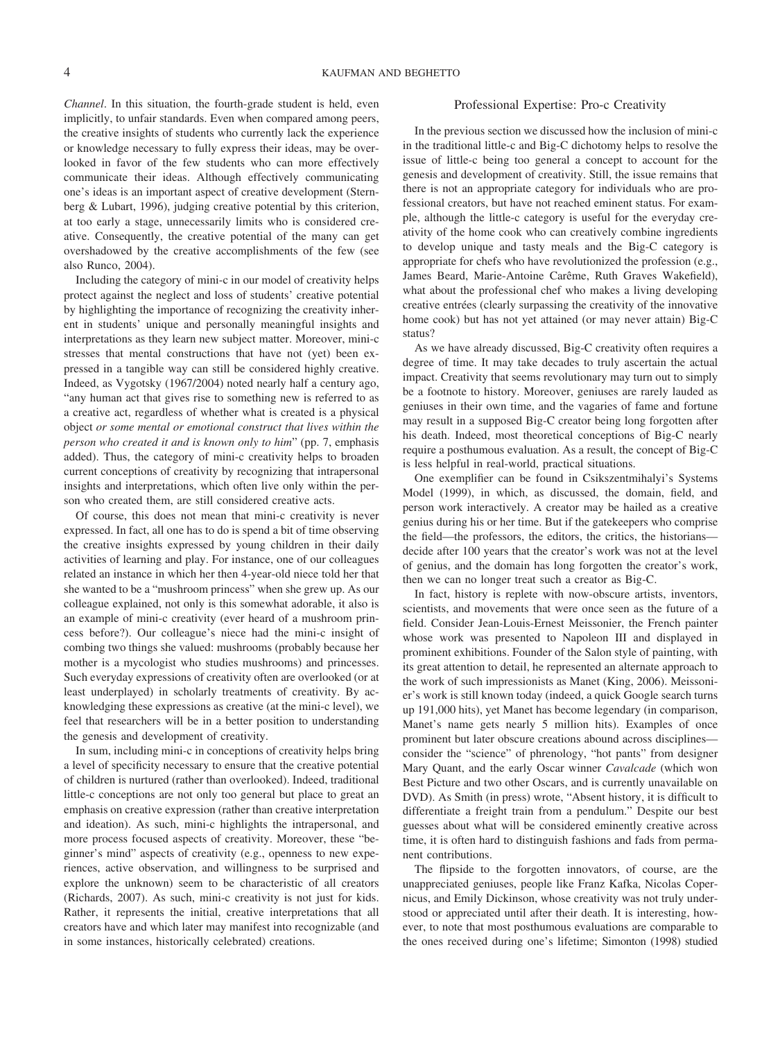*Channel*. In this situation, the fourth-grade student is held, even implicitly, to unfair standards. Even when compared among peers, the creative insights of students who currently lack the experience or knowledge necessary to fully express their ideas, may be overlooked in favor of the few students who can more effectively communicate their ideas. Although effectively communicating one's ideas is an important aspect of creative development (Sternberg & Lubart, 1996), judging creative potential by this criterion, at too early a stage, unnecessarily limits who is considered creative. Consequently, the creative potential of the many can get overshadowed by the creative accomplishments of the few (see also Runco, 2004).

Including the category of mini-c in our model of creativity helps protect against the neglect and loss of students' creative potential by highlighting the importance of recognizing the creativity inherent in students' unique and personally meaningful insights and interpretations as they learn new subject matter. Moreover, mini-c stresses that mental constructions that have not (yet) been expressed in a tangible way can still be considered highly creative. Indeed, as Vygotsky (1967/2004) noted nearly half a century ago, "any human act that gives rise to something new is referred to as a creative act, regardless of whether what is created is a physical object *or some mental or emotional construct that lives within the person who created it and is known only to him*" (pp. 7, emphasis added). Thus, the category of mini-c creativity helps to broaden current conceptions of creativity by recognizing that intrapersonal insights and interpretations, which often live only within the person who created them, are still considered creative acts.

Of course, this does not mean that mini-c creativity is never expressed. In fact, all one has to do is spend a bit of time observing the creative insights expressed by young children in their daily activities of learning and play. For instance, one of our colleagues related an instance in which her then 4-year-old niece told her that she wanted to be a "mushroom princess" when she grew up. As our colleague explained, not only is this somewhat adorable, it also is an example of mini-c creativity (ever heard of a mushroom princess before?). Our colleague's niece had the mini-c insight of combing two things she valued: mushrooms (probably because her mother is a mycologist who studies mushrooms) and princesses. Such everyday expressions of creativity often are overlooked (or at least underplayed) in scholarly treatments of creativity. By acknowledging these expressions as creative (at the mini-c level), we feel that researchers will be in a better position to understanding the genesis and development of creativity.

In sum, including mini-c in conceptions of creativity helps bring a level of specificity necessary to ensure that the creative potential of children is nurtured (rather than overlooked). Indeed, traditional little-c conceptions are not only too general but place to great an emphasis on creative expression (rather than creative interpretation and ideation). As such, mini-c highlights the intrapersonal, and more process focused aspects of creativity. Moreover, these "beginner's mind" aspects of creativity (e.g., openness to new experiences, active observation, and willingness to be surprised and explore the unknown) seem to be characteristic of all creators (Richards, 2007). As such, mini-c creativity is not just for kids. Rather, it represents the initial, creative interpretations that all creators have and which later may manifest into recognizable (and in some instances, historically celebrated) creations.

#### Professional Expertise: Pro-c Creativity

In the previous section we discussed how the inclusion of mini-c in the traditional little-c and Big-C dichotomy helps to resolve the issue of little-c being too general a concept to account for the genesis and development of creativity. Still, the issue remains that there is not an appropriate category for individuals who are professional creators, but have not reached eminent status. For example, although the little-c category is useful for the everyday creativity of the home cook who can creatively combine ingredients to develop unique and tasty meals and the Big-C category is appropriate for chefs who have revolutionized the profession (e.g., James Beard, Marie-Antoine Carême, Ruth Graves Wakefield), what about the professional chef who makes a living developing creative entrées (clearly surpassing the creativity of the innovative home cook) but has not yet attained (or may never attain) Big-C status?

As we have already discussed, Big-C creativity often requires a degree of time. It may take decades to truly ascertain the actual impact. Creativity that seems revolutionary may turn out to simply be a footnote to history. Moreover, geniuses are rarely lauded as geniuses in their own time, and the vagaries of fame and fortune may result in a supposed Big-C creator being long forgotten after his death. Indeed, most theoretical conceptions of Big-C nearly require a posthumous evaluation. As a result, the concept of Big-C is less helpful in real-world, practical situations.

One exemplifier can be found in Csikszentmihalyi's Systems Model (1999), in which, as discussed, the domain, field, and person work interactively. A creator may be hailed as a creative genius during his or her time. But if the gatekeepers who comprise the field—the professors, the editors, the critics, the historians decide after 100 years that the creator's work was not at the level of genius, and the domain has long forgotten the creator's work, then we can no longer treat such a creator as Big-C.

In fact, history is replete with now-obscure artists, inventors, scientists, and movements that were once seen as the future of a field. Consider Jean-Louis-Ernest Meissonier, the French painter whose work was presented to Napoleon III and displayed in prominent exhibitions. Founder of the Salon style of painting, with its great attention to detail, he represented an alternate approach to the work of such impressionists as Manet (King, 2006). Meissonier's work is still known today (indeed, a quick Google search turns up 191,000 hits), yet Manet has become legendary (in comparison, Manet's name gets nearly 5 million hits). Examples of once prominent but later obscure creations abound across disciplines consider the "science" of phrenology, "hot pants" from designer Mary Quant, and the early Oscar winner *Cavalcade* (which won Best Picture and two other Oscars, and is currently unavailable on DVD). As Smith (in press) wrote, "Absent history, it is difficult to differentiate a freight train from a pendulum." Despite our best guesses about what will be considered eminently creative across time, it is often hard to distinguish fashions and fads from permanent contributions.

The flipside to the forgotten innovators, of course, are the unappreciated geniuses, people like Franz Kafka, Nicolas Copernicus, and Emily Dickinson, whose creativity was not truly understood or appreciated until after their death. It is interesting, however, to note that most posthumous evaluations are comparable to the ones received during one's lifetime; Simonton (1998) studied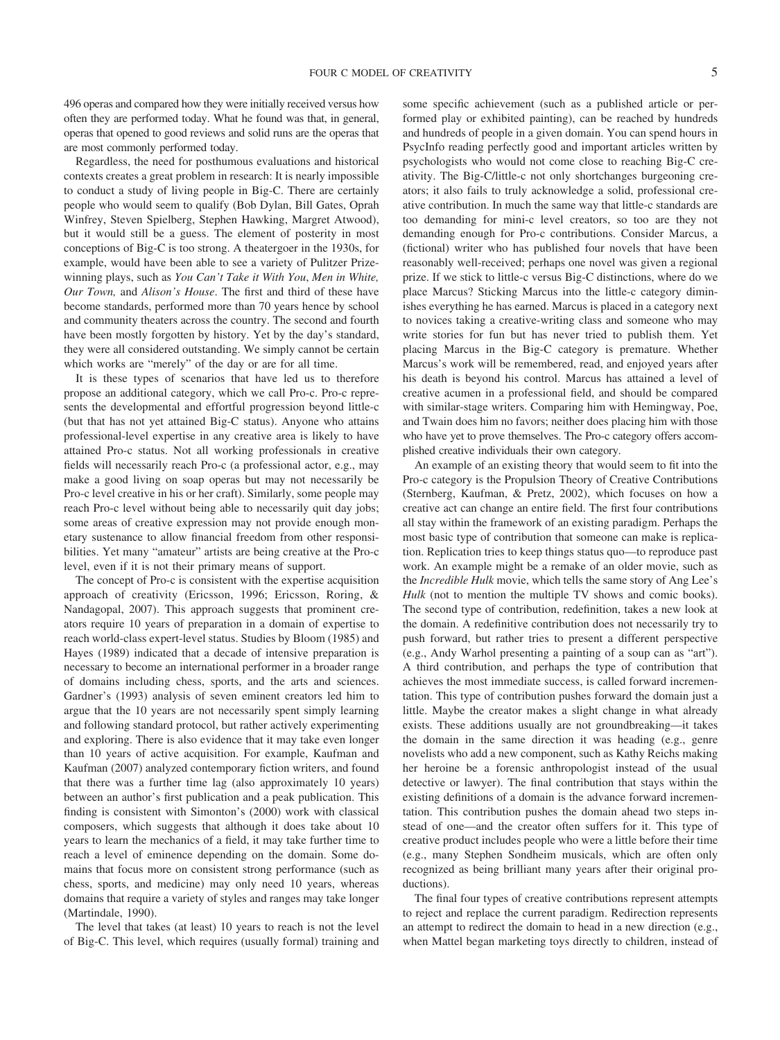496 operas and compared how they were initially received versus how often they are performed today. What he found was that, in general, operas that opened to good reviews and solid runs are the operas that are most commonly performed today.

Regardless, the need for posthumous evaluations and historical contexts creates a great problem in research: It is nearly impossible to conduct a study of living people in Big-C. There are certainly people who would seem to qualify (Bob Dylan, Bill Gates, Oprah Winfrey, Steven Spielberg, Stephen Hawking, Margret Atwood), but it would still be a guess. The element of posterity in most conceptions of Big-C is too strong. A theatergoer in the 1930s, for example, would have been able to see a variety of Pulitzer Prizewinning plays, such as *You Can't Take it With You*, *Men in White, Our Town,* and *Alison's House*. The first and third of these have become standards, performed more than 70 years hence by school and community theaters across the country. The second and fourth have been mostly forgotten by history. Yet by the day's standard, they were all considered outstanding. We simply cannot be certain which works are "merely" of the day or are for all time.

It is these types of scenarios that have led us to therefore propose an additional category, which we call Pro-c. Pro-c represents the developmental and effortful progression beyond little-c (but that has not yet attained Big-C status). Anyone who attains professional-level expertise in any creative area is likely to have attained Pro-c status. Not all working professionals in creative fields will necessarily reach Pro-c (a professional actor, e.g., may make a good living on soap operas but may not necessarily be Pro-c level creative in his or her craft). Similarly, some people may reach Pro-c level without being able to necessarily quit day jobs; some areas of creative expression may not provide enough monetary sustenance to allow financial freedom from other responsibilities. Yet many "amateur" artists are being creative at the Pro-c level, even if it is not their primary means of support.

The concept of Pro-c is consistent with the expertise acquisition approach of creativity (Ericsson, 1996; Ericsson, Roring, & Nandagopal, 2007). This approach suggests that prominent creators require 10 years of preparation in a domain of expertise to reach world-class expert-level status. Studies by Bloom (1985) and Hayes (1989) indicated that a decade of intensive preparation is necessary to become an international performer in a broader range of domains including chess, sports, and the arts and sciences. Gardner's (1993) analysis of seven eminent creators led him to argue that the 10 years are not necessarily spent simply learning and following standard protocol, but rather actively experimenting and exploring. There is also evidence that it may take even longer than 10 years of active acquisition. For example, Kaufman and Kaufman (2007) analyzed contemporary fiction writers, and found that there was a further time lag (also approximately 10 years) between an author's first publication and a peak publication. This finding is consistent with Simonton's (2000) work with classical composers, which suggests that although it does take about 10 years to learn the mechanics of a field, it may take further time to reach a level of eminence depending on the domain. Some domains that focus more on consistent strong performance (such as chess, sports, and medicine) may only need 10 years, whereas domains that require a variety of styles and ranges may take longer (Martindale, 1990).

The level that takes (at least) 10 years to reach is not the level of Big-C. This level, which requires (usually formal) training and some specific achievement (such as a published article or performed play or exhibited painting), can be reached by hundreds and hundreds of people in a given domain. You can spend hours in PsycInfo reading perfectly good and important articles written by psychologists who would not come close to reaching Big-C creativity. The Big-C/little-c not only shortchanges burgeoning creators; it also fails to truly acknowledge a solid, professional creative contribution. In much the same way that little-c standards are too demanding for mini-c level creators, so too are they not demanding enough for Pro-c contributions. Consider Marcus, a (fictional) writer who has published four novels that have been reasonably well-received; perhaps one novel was given a regional prize. If we stick to little-c versus Big-C distinctions, where do we place Marcus? Sticking Marcus into the little-c category diminishes everything he has earned. Marcus is placed in a category next to novices taking a creative-writing class and someone who may write stories for fun but has never tried to publish them. Yet placing Marcus in the Big-C category is premature. Whether Marcus's work will be remembered, read, and enjoyed years after his death is beyond his control. Marcus has attained a level of creative acumen in a professional field, and should be compared with similar-stage writers. Comparing him with Hemingway, Poe, and Twain does him no favors; neither does placing him with those who have yet to prove themselves. The Pro-c category offers accomplished creative individuals their own category.

An example of an existing theory that would seem to fit into the Pro-c category is the Propulsion Theory of Creative Contributions (Sternberg, Kaufman, & Pretz, 2002), which focuses on how a creative act can change an entire field. The first four contributions all stay within the framework of an existing paradigm. Perhaps the most basic type of contribution that someone can make is replication. Replication tries to keep things status quo—to reproduce past work. An example might be a remake of an older movie, such as the *Incredible Hulk* movie, which tells the same story of Ang Lee's *Hulk* (not to mention the multiple TV shows and comic books). The second type of contribution, redefinition, takes a new look at the domain. A redefinitive contribution does not necessarily try to push forward, but rather tries to present a different perspective (e.g., Andy Warhol presenting a painting of a soup can as "art"). A third contribution, and perhaps the type of contribution that achieves the most immediate success, is called forward incrementation. This type of contribution pushes forward the domain just a little. Maybe the creator makes a slight change in what already exists. These additions usually are not groundbreaking—it takes the domain in the same direction it was heading (e.g., genre novelists who add a new component, such as Kathy Reichs making her heroine be a forensic anthropologist instead of the usual detective or lawyer). The final contribution that stays within the existing definitions of a domain is the advance forward incrementation. This contribution pushes the domain ahead two steps instead of one—and the creator often suffers for it. This type of creative product includes people who were a little before their time (e.g., many Stephen Sondheim musicals, which are often only recognized as being brilliant many years after their original productions).

The final four types of creative contributions represent attempts to reject and replace the current paradigm. Redirection represents an attempt to redirect the domain to head in a new direction (e.g., when Mattel began marketing toys directly to children, instead of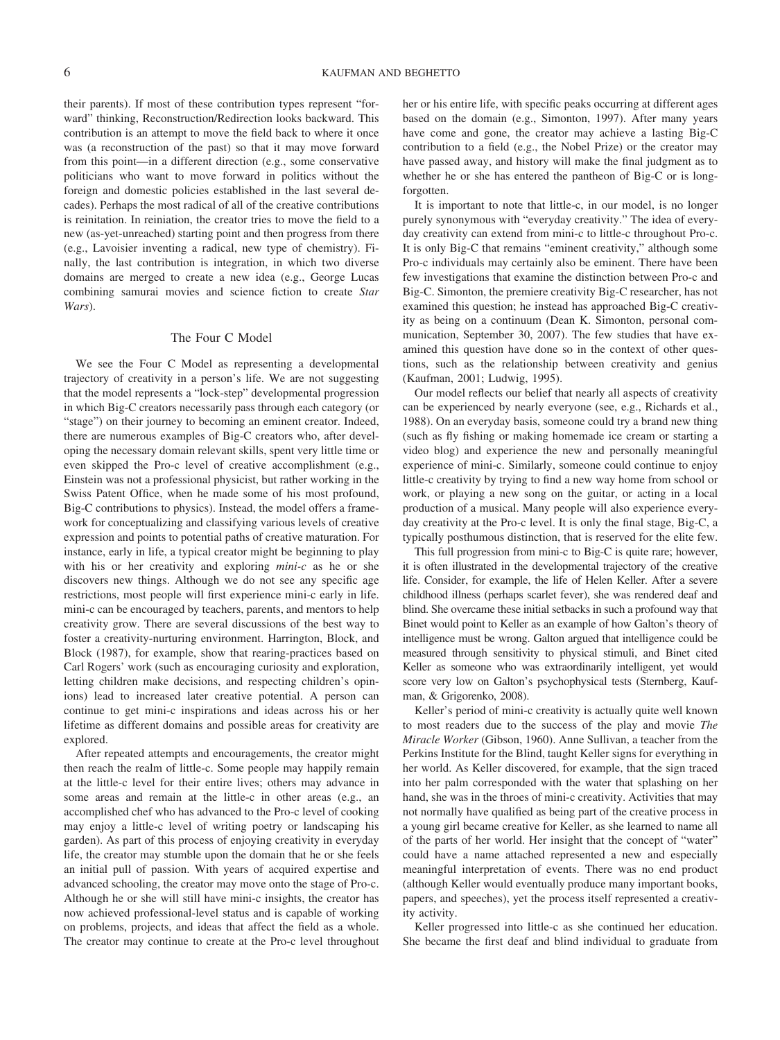their parents). If most of these contribution types represent "forward" thinking, Reconstruction/Redirection looks backward. This contribution is an attempt to move the field back to where it once was (a reconstruction of the past) so that it may move forward from this point—in a different direction (e.g., some conservative politicians who want to move forward in politics without the foreign and domestic policies established in the last several decades). Perhaps the most radical of all of the creative contributions is reinitation. In reiniation, the creator tries to move the field to a new (as-yet-unreached) starting point and then progress from there (e.g., Lavoisier inventing a radical, new type of chemistry). Finally, the last contribution is integration, in which two diverse domains are merged to create a new idea (e.g., George Lucas combining samurai movies and science fiction to create *Star Wars*).

#### The Four C Model

We see the Four C Model as representing a developmental trajectory of creativity in a person's life. We are not suggesting that the model represents a "lock-step" developmental progression in which Big-C creators necessarily pass through each category (or "stage") on their journey to becoming an eminent creator. Indeed, there are numerous examples of Big-C creators who, after developing the necessary domain relevant skills, spent very little time or even skipped the Pro-c level of creative accomplishment (e.g., Einstein was not a professional physicist, but rather working in the Swiss Patent Office, when he made some of his most profound, Big-C contributions to physics). Instead, the model offers a framework for conceptualizing and classifying various levels of creative expression and points to potential paths of creative maturation. For instance, early in life, a typical creator might be beginning to play with his or her creativity and exploring *mini-c* as he or she discovers new things. Although we do not see any specific age restrictions, most people will first experience mini-c early in life. mini-c can be encouraged by teachers, parents, and mentors to help creativity grow. There are several discussions of the best way to foster a creativity-nurturing environment. Harrington, Block, and Block (1987), for example, show that rearing-practices based on Carl Rogers' work (such as encouraging curiosity and exploration, letting children make decisions, and respecting children's opinions) lead to increased later creative potential. A person can continue to get mini-c inspirations and ideas across his or her lifetime as different domains and possible areas for creativity are explored.

After repeated attempts and encouragements, the creator might then reach the realm of little-c. Some people may happily remain at the little-c level for their entire lives; others may advance in some areas and remain at the little-c in other areas (e.g., an accomplished chef who has advanced to the Pro-c level of cooking may enjoy a little-c level of writing poetry or landscaping his garden). As part of this process of enjoying creativity in everyday life, the creator may stumble upon the domain that he or she feels an initial pull of passion. With years of acquired expertise and advanced schooling, the creator may move onto the stage of Pro-c. Although he or she will still have mini-c insights, the creator has now achieved professional-level status and is capable of working on problems, projects, and ideas that affect the field as a whole. The creator may continue to create at the Pro-c level throughout her or his entire life, with specific peaks occurring at different ages based on the domain (e.g., Simonton, 1997). After many years have come and gone, the creator may achieve a lasting Big-C contribution to a field (e.g., the Nobel Prize) or the creator may have passed away, and history will make the final judgment as to whether he or she has entered the pantheon of Big-C or is longforgotten.

It is important to note that little-c, in our model, is no longer purely synonymous with "everyday creativity." The idea of everyday creativity can extend from mini-c to little-c throughout Pro-c. It is only Big-C that remains "eminent creativity," although some Pro-c individuals may certainly also be eminent. There have been few investigations that examine the distinction between Pro-c and Big-C. Simonton, the premiere creativity Big-C researcher, has not examined this question; he instead has approached Big-C creativity as being on a continuum (Dean K. Simonton, personal communication, September 30, 2007). The few studies that have examined this question have done so in the context of other questions, such as the relationship between creativity and genius (Kaufman, 2001; Ludwig, 1995).

Our model reflects our belief that nearly all aspects of creativity can be experienced by nearly everyone (see, e.g., Richards et al., 1988). On an everyday basis, someone could try a brand new thing (such as fly fishing or making homemade ice cream or starting a video blog) and experience the new and personally meaningful experience of mini-c. Similarly, someone could continue to enjoy little-c creativity by trying to find a new way home from school or work, or playing a new song on the guitar, or acting in a local production of a musical. Many people will also experience everyday creativity at the Pro-c level. It is only the final stage, Big-C, a typically posthumous distinction, that is reserved for the elite few.

This full progression from mini-c to Big-C is quite rare; however, it is often illustrated in the developmental trajectory of the creative life. Consider, for example, the life of Helen Keller. After a severe childhood illness (perhaps scarlet fever), she was rendered deaf and blind. She overcame these initial setbacks in such a profound way that Binet would point to Keller as an example of how Galton's theory of intelligence must be wrong. Galton argued that intelligence could be measured through sensitivity to physical stimuli, and Binet cited Keller as someone who was extraordinarily intelligent, yet would score very low on Galton's psychophysical tests (Sternberg, Kaufman, & Grigorenko, 2008).

Keller's period of mini-c creativity is actually quite well known to most readers due to the success of the play and movie *The Miracle Worker* (Gibson, 1960). Anne Sullivan, a teacher from the Perkins Institute for the Blind, taught Keller signs for everything in her world. As Keller discovered, for example, that the sign traced into her palm corresponded with the water that splashing on her hand, she was in the throes of mini-c creativity. Activities that may not normally have qualified as being part of the creative process in a young girl became creative for Keller, as she learned to name all of the parts of her world. Her insight that the concept of "water" could have a name attached represented a new and especially meaningful interpretation of events. There was no end product (although Keller would eventually produce many important books, papers, and speeches), yet the process itself represented a creativity activity.

Keller progressed into little-c as she continued her education. She became the first deaf and blind individual to graduate from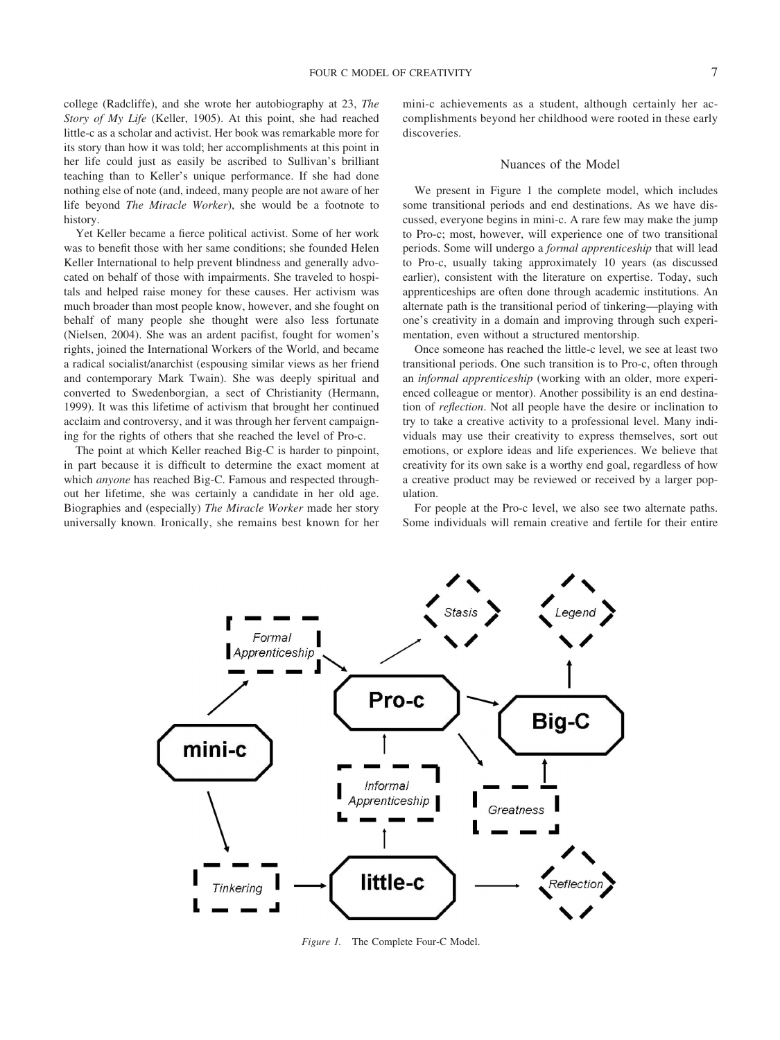college (Radcliffe), and she wrote her autobiography at 23, *The Story of My Life* (Keller, 1905). At this point, she had reached little-c as a scholar and activist. Her book was remarkable more for its story than how it was told; her accomplishments at this point in her life could just as easily be ascribed to Sullivan's brilliant teaching than to Keller's unique performance. If she had done nothing else of note (and, indeed, many people are not aware of her life beyond *The Miracle Worker*), she would be a footnote to history.

Yet Keller became a fierce political activist. Some of her work was to benefit those with her same conditions; she founded Helen Keller International to help prevent blindness and generally advocated on behalf of those with impairments. She traveled to hospitals and helped raise money for these causes. Her activism was much broader than most people know, however, and she fought on behalf of many people she thought were also less fortunate (Nielsen, 2004). She was an ardent pacifist, fought for women's rights, joined the International Workers of the World, and became a radical socialist/anarchist (espousing similar views as her friend and contemporary Mark Twain). She was deeply spiritual and converted to Swedenborgian, a sect of Christianity (Hermann, 1999). It was this lifetime of activism that brought her continued acclaim and controversy, and it was through her fervent campaigning for the rights of others that she reached the level of Pro-c.

The point at which Keller reached Big-C is harder to pinpoint, in part because it is difficult to determine the exact moment at which *anyone* has reached Big-C. Famous and respected throughout her lifetime, she was certainly a candidate in her old age. Biographies and (especially) *The Miracle Worker* made her story universally known. Ironically, she remains best known for her

mini-c achievements as a student, although certainly her accomplishments beyond her childhood were rooted in these early discoveries.

#### Nuances of the Model

We present in Figure 1 the complete model, which includes some transitional periods and end destinations. As we have discussed, everyone begins in mini-c. A rare few may make the jump to Pro-c; most, however, will experience one of two transitional periods. Some will undergo a *formal apprenticeship* that will lead to Pro-c, usually taking approximately 10 years (as discussed earlier), consistent with the literature on expertise. Today, such apprenticeships are often done through academic institutions. An alternate path is the transitional period of tinkering—playing with one's creativity in a domain and improving through such experimentation, even without a structured mentorship.

Once someone has reached the little-c level, we see at least two transitional periods. One such transition is to Pro-c, often through an *informal apprenticeship* (working with an older, more experienced colleague or mentor). Another possibility is an end destination of *reflection*. Not all people have the desire or inclination to try to take a creative activity to a professional level. Many individuals may use their creativity to express themselves, sort out emotions, or explore ideas and life experiences. We believe that creativity for its own sake is a worthy end goal, regardless of how a creative product may be reviewed or received by a larger population.

For people at the Pro-c level, we also see two alternate paths. Some individuals will remain creative and fertile for their entire



*Figure 1.* The Complete Four-C Model.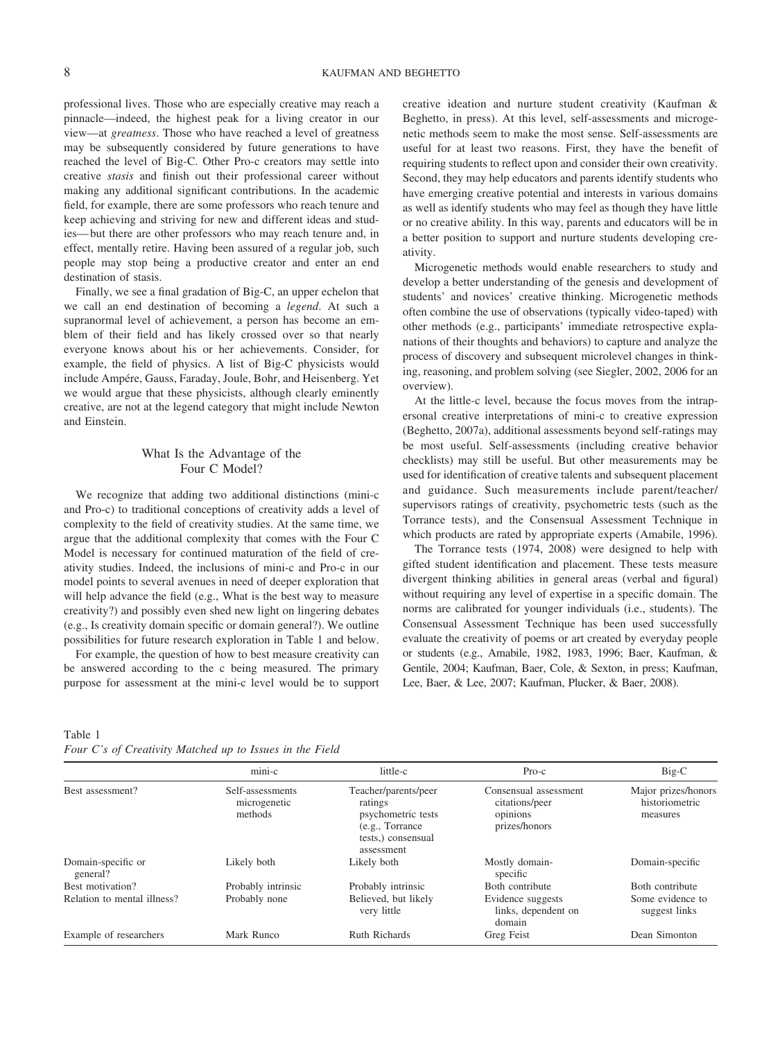professional lives. Those who are especially creative may reach a pinnacle—indeed, the highest peak for a living creator in our view—at *greatness*. Those who have reached a level of greatness may be subsequently considered by future generations to have reached the level of Big-C. Other Pro-c creators may settle into creative *stasis* and finish out their professional career without making any additional significant contributions. In the academic field, for example, there are some professors who reach tenure and keep achieving and striving for new and different ideas and studies—but there are other professors who may reach tenure and, in effect, mentally retire. Having been assured of a regular job, such people may stop being a productive creator and enter an end destination of stasis.

Finally, we see a final gradation of Big-C, an upper echelon that we call an end destination of becoming a *legend*. At such a supranormal level of achievement, a person has become an emblem of their field and has likely crossed over so that nearly everyone knows about his or her achievements. Consider, for example, the field of physics. A list of Big-C physicists would include Ampére, Gauss, Faraday, Joule, Bohr, and Heisenberg. Yet we would argue that these physicists, although clearly eminently creative, are not at the legend category that might include Newton and Einstein.

## What Is the Advantage of the Four C Model?

We recognize that adding two additional distinctions (mini-c and Pro-c) to traditional conceptions of creativity adds a level of complexity to the field of creativity studies. At the same time, we argue that the additional complexity that comes with the Four C Model is necessary for continued maturation of the field of creativity studies. Indeed, the inclusions of mini-c and Pro-c in our model points to several avenues in need of deeper exploration that will help advance the field (e.g., What is the best way to measure creativity?) and possibly even shed new light on lingering debates (e.g., Is creativity domain specific or domain general?). We outline possibilities for future research exploration in Table 1 and below.

For example, the question of how to best measure creativity can be answered according to the c being measured. The primary purpose for assessment at the mini-c level would be to support creative ideation and nurture student creativity (Kaufman & Beghetto, in press). At this level, self-assessments and microgenetic methods seem to make the most sense. Self-assessments are useful for at least two reasons. First, they have the benefit of requiring students to reflect upon and consider their own creativity. Second, they may help educators and parents identify students who have emerging creative potential and interests in various domains as well as identify students who may feel as though they have little or no creative ability. In this way, parents and educators will be in a better position to support and nurture students developing creativity.

Microgenetic methods would enable researchers to study and develop a better understanding of the genesis and development of students' and novices' creative thinking. Microgenetic methods often combine the use of observations (typically video-taped) with other methods (e.g., participants' immediate retrospective explanations of their thoughts and behaviors) to capture and analyze the process of discovery and subsequent microlevel changes in thinking, reasoning, and problem solving (see Siegler, 2002, 2006 for an overview).

At the little-c level, because the focus moves from the intrapersonal creative interpretations of mini-c to creative expression (Beghetto, 2007a), additional assessments beyond self-ratings may be most useful. Self-assessments (including creative behavior checklists) may still be useful. But other measurements may be used for identification of creative talents and subsequent placement and guidance. Such measurements include parent/teacher/ supervisors ratings of creativity, psychometric tests (such as the Torrance tests), and the Consensual Assessment Technique in which products are rated by appropriate experts (Amabile, 1996).

The Torrance tests (1974, 2008) were designed to help with gifted student identification and placement. These tests measure divergent thinking abilities in general areas (verbal and figural) without requiring any level of expertise in a specific domain. The norms are calibrated for younger individuals (i.e., students). The Consensual Assessment Technique has been used successfully evaluate the creativity of poems or art created by everyday people or students (e.g., Amabile, 1982, 1983, 1996; Baer, Kaufman, & Gentile, 2004; Kaufman, Baer, Cole, & Sexton, in press; Kaufman, Lee, Baer, & Lee, 2007; Kaufman, Plucker, & Baer, 2008).

Table 1 *Four C's of Creativity Matched up to Issues in the Field*

|                                | mini-c                                      | little-c                                                                                                      | $Pro-c$                                                              | Big-C                                             |
|--------------------------------|---------------------------------------------|---------------------------------------------------------------------------------------------------------------|----------------------------------------------------------------------|---------------------------------------------------|
| Best assessment?               | Self-assessments<br>microgenetic<br>methods | Teacher/parents/peer<br>ratings<br>psychometric tests<br>(e.g., Torrance)<br>tests.) consensual<br>assessment | Consensual assessment<br>citations/peer<br>opinions<br>prizes/honors | Major prizes/honors<br>historiometric<br>measures |
| Domain-specific or<br>general? | Likely both                                 | Likely both                                                                                                   | Mostly domain-<br>specific                                           | Domain-specific                                   |
| Best motivation?               | Probably intrinsic                          | Probably intrinsic                                                                                            | Both contribute                                                      | Both contribute                                   |
| Relation to mental illness?    | Probably none                               | Believed, but likely<br>very little                                                                           | Evidence suggests<br>links, dependent on<br>domain                   | Some evidence to<br>suggest links                 |
| Example of researchers         | Mark Runco                                  | <b>Ruth Richards</b>                                                                                          | Greg Feist                                                           | Dean Simonton                                     |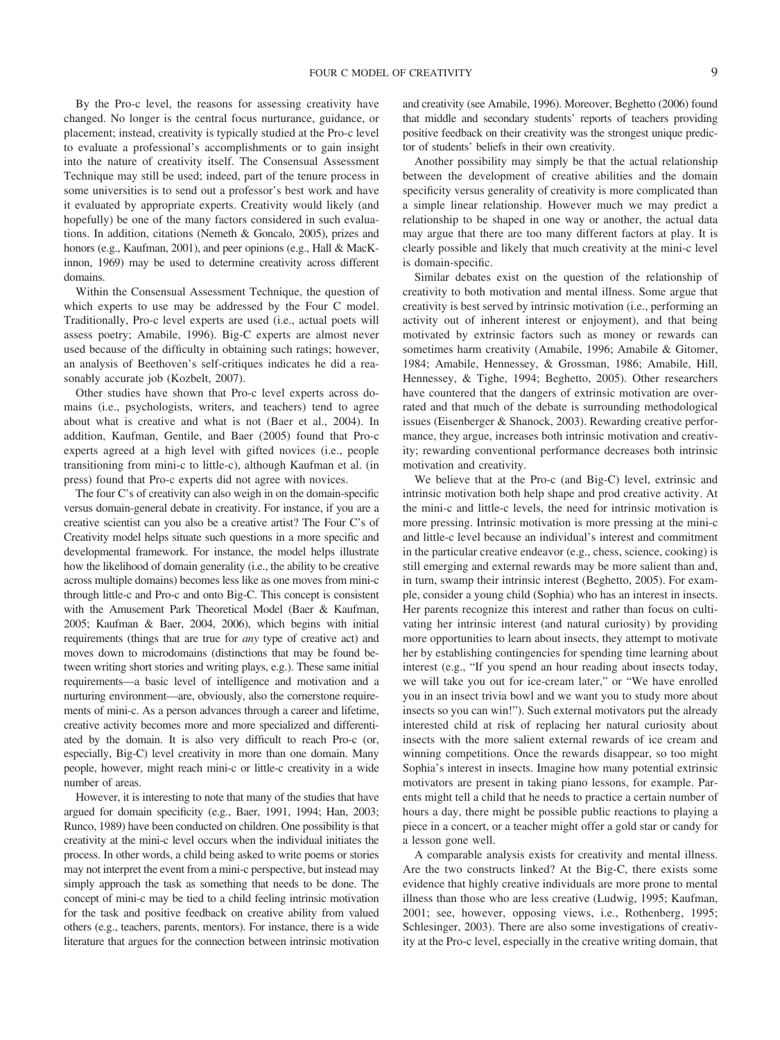By the Pro-c level, the reasons for assessing creativity have changed. No longer is the central focus nurturance, guidance, or placement; instead, creativity is typically studied at the Pro-c level to evaluate a professional's accomplishments or to gain insight into the nature of creativity itself. The Consensual Assessment Technique may still be used; indeed, part of the tenure process in some universities is to send out a professor's best work and have it evaluated by appropriate experts. Creativity would likely (and hopefully) be one of the many factors considered in such evaluations. In addition, citations (Nemeth & Goncalo, 2005), prizes and honors (e.g., Kaufman, 2001), and peer opinions (e.g., Hall & MacKinnon, 1969) may be used to determine creativity across different domains.

Within the Consensual Assessment Technique, the question of which experts to use may be addressed by the Four C model. Traditionally, Pro-c level experts are used (i.e., actual poets will assess poetry; Amabile, 1996). Big-C experts are almost never used because of the difficulty in obtaining such ratings; however, an analysis of Beethoven's self-critiques indicates he did a reasonably accurate job (Kozbelt, 2007).

Other studies have shown that Pro-c level experts across domains (i.e., psychologists, writers, and teachers) tend to agree about what is creative and what is not (Baer et al., 2004). In addition, Kaufman, Gentile, and Baer (2005) found that Pro-c experts agreed at a high level with gifted novices (i.e., people transitioning from mini-c to little-c), although Kaufman et al. (in press) found that Pro-c experts did not agree with novices.

The four C's of creativity can also weigh in on the domain-specific versus domain-general debate in creativity. For instance, if you are a creative scientist can you also be a creative artist? The Four C's of Creativity model helps situate such questions in a more specific and developmental framework. For instance, the model helps illustrate how the likelihood of domain generality (i.e., the ability to be creative across multiple domains) becomes less like as one moves from mini-c through little-c and Pro-c and onto Big-C. This concept is consistent with the Amusement Park Theoretical Model (Baer & Kaufman, 2005; Kaufman & Baer, 2004, 2006), which begins with initial requirements (things that are true for *any* type of creative act) and moves down to microdomains (distinctions that may be found between writing short stories and writing plays, e.g.). These same initial requirements—a basic level of intelligence and motivation and a nurturing environment—are, obviously, also the cornerstone requirements of mini-c. As a person advances through a career and lifetime, creative activity becomes more and more specialized and differentiated by the domain. It is also very difficult to reach Pro-c (or, especially, Big-C) level creativity in more than one domain. Many people, however, might reach mini-c or little-c creativity in a wide number of areas.

However, it is interesting to note that many of the studies that have argued for domain specificity (e.g., Baer, 1991, 1994; Han, 2003; Runco, 1989) have been conducted on children. One possibility is that creativity at the mini-c level occurs when the individual initiates the process. In other words, a child being asked to write poems or stories may not interpret the event from a mini-c perspective, but instead may simply approach the task as something that needs to be done. The concept of mini-c may be tied to a child feeling intrinsic motivation for the task and positive feedback on creative ability from valued others (e.g., teachers, parents, mentors). For instance, there is a wide literature that argues for the connection between intrinsic motivation and creativity (see Amabile, 1996). Moreover, Beghetto (2006) found that middle and secondary students' reports of teachers providing positive feedback on their creativity was the strongest unique predictor of students' beliefs in their own creativity.

Another possibility may simply be that the actual relationship between the development of creative abilities and the domain specificity versus generality of creativity is more complicated than a simple linear relationship. However much we may predict a relationship to be shaped in one way or another, the actual data may argue that there are too many different factors at play. It is clearly possible and likely that much creativity at the mini-c level is domain-specific.

Similar debates exist on the question of the relationship of creativity to both motivation and mental illness. Some argue that creativity is best served by intrinsic motivation (i.e., performing an activity out of inherent interest or enjoyment), and that being motivated by extrinsic factors such as money or rewards can sometimes harm creativity (Amabile, 1996; Amabile & Gitomer, 1984; Amabile, Hennessey, & Grossman, 1986; Amabile, Hill, Hennessey, & Tighe, 1994; Beghetto, 2005). Other researchers have countered that the dangers of extrinsic motivation are overrated and that much of the debate is surrounding methodological issues (Eisenberger & Shanock, 2003). Rewarding creative performance, they argue, increases both intrinsic motivation and creativity; rewarding conventional performance decreases both intrinsic motivation and creativity.

We believe that at the Pro-c (and Big-C) level, extrinsic and intrinsic motivation both help shape and prod creative activity. At the mini-c and little-c levels, the need for intrinsic motivation is more pressing. Intrinsic motivation is more pressing at the mini-c and little-c level because an individual's interest and commitment in the particular creative endeavor (e.g., chess, science, cooking) is still emerging and external rewards may be more salient than and, in turn, swamp their intrinsic interest (Beghetto, 2005). For example, consider a young child (Sophia) who has an interest in insects. Her parents recognize this interest and rather than focus on cultivating her intrinsic interest (and natural curiosity) by providing more opportunities to learn about insects, they attempt to motivate her by establishing contingencies for spending time learning about interest (e.g., "If you spend an hour reading about insects today, we will take you out for ice-cream later," or "We have enrolled you in an insect trivia bowl and we want you to study more about insects so you can win!"). Such external motivators put the already interested child at risk of replacing her natural curiosity about insects with the more salient external rewards of ice cream and winning competitions. Once the rewards disappear, so too might Sophia's interest in insects. Imagine how many potential extrinsic motivators are present in taking piano lessons, for example. Parents might tell a child that he needs to practice a certain number of hours a day, there might be possible public reactions to playing a piece in a concert, or a teacher might offer a gold star or candy for a lesson gone well.

A comparable analysis exists for creativity and mental illness. Are the two constructs linked? At the Big-C, there exists some evidence that highly creative individuals are more prone to mental illness than those who are less creative (Ludwig, 1995; Kaufman, 2001; see, however, opposing views, i.e., Rothenberg, 1995; Schlesinger, 2003). There are also some investigations of creativity at the Pro-c level, especially in the creative writing domain, that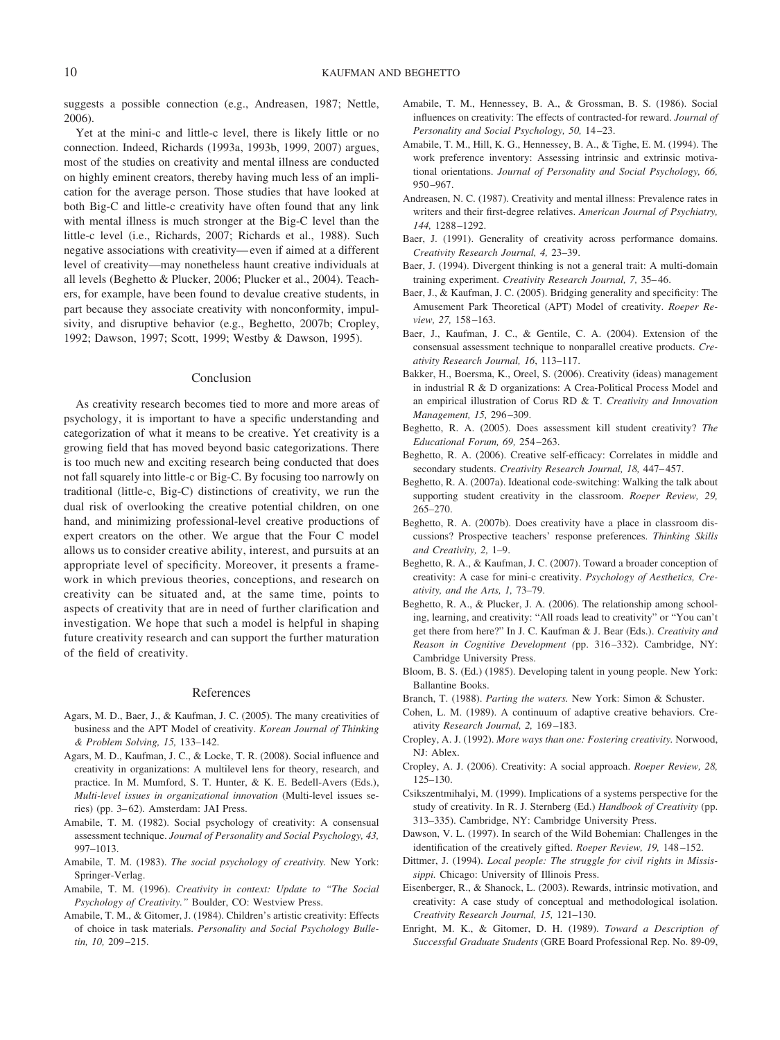suggests a possible connection (e.g., Andreasen, 1987; Nettle, 2006).

Yet at the mini-c and little-c level, there is likely little or no connection. Indeed, Richards (1993a, 1993b, 1999, 2007) argues, most of the studies on creativity and mental illness are conducted on highly eminent creators, thereby having much less of an implication for the average person. Those studies that have looked at both Big-C and little-c creativity have often found that any link with mental illness is much stronger at the Big-C level than the little-c level (i.e., Richards, 2007; Richards et al., 1988). Such negative associations with creativity—even if aimed at a different level of creativity—may nonetheless haunt creative individuals at all levels (Beghetto & Plucker, 2006; Plucker et al., 2004). Teachers, for example, have been found to devalue creative students, in part because they associate creativity with nonconformity, impulsivity, and disruptive behavior (e.g., Beghetto, 2007b; Cropley, 1992; Dawson, 1997; Scott, 1999; Westby & Dawson, 1995).

#### Conclusion

As creativity research becomes tied to more and more areas of psychology, it is important to have a specific understanding and categorization of what it means to be creative. Yet creativity is a growing field that has moved beyond basic categorizations. There is too much new and exciting research being conducted that does not fall squarely into little-c or Big-C. By focusing too narrowly on traditional (little-c, Big-C) distinctions of creativity, we run the dual risk of overlooking the creative potential children, on one hand, and minimizing professional-level creative productions of expert creators on the other. We argue that the Four C model allows us to consider creative ability, interest, and pursuits at an appropriate level of specificity. Moreover, it presents a framework in which previous theories, conceptions, and research on creativity can be situated and, at the same time, points to aspects of creativity that are in need of further clarification and investigation. We hope that such a model is helpful in shaping future creativity research and can support the further maturation of the field of creativity.

#### References

- Agars, M. D., Baer, J., & Kaufman, J. C. (2005). The many creativities of business and the APT Model of creativity. *Korean Journal of Thinking & Problem Solving, 15,* 133–142.
- Agars, M. D., Kaufman, J. C., & Locke, T. R. (2008). Social influence and creativity in organizations: A multilevel lens for theory, research, and practice. In M. Mumford, S. T. Hunter, & K. E. Bedell-Avers (Eds.), *Multi-level issues in organizational innovation* (Multi-level issues series) (pp. 3–62). Amsterdam: JAI Press.
- Amabile, T. M. (1982). Social psychology of creativity: A consensual assessment technique. *Journal of Personality and Social Psychology, 43,* 997–1013.
- Amabile, T. M. (1983). *The social psychology of creativity.* New York: Springer-Verlag.
- Amabile, T. M. (1996). *Creativity in context: Update to "The Social Psychology of Creativity."* Boulder, CO: Westview Press.
- Amabile, T. M., & Gitomer, J. (1984). Children's artistic creativity: Effects of choice in task materials. *Personality and Social Psychology Bulletin, 10,* 209–215.
- Amabile, T. M., Hennessey, B. A., & Grossman, B. S. (1986). Social influences on creativity: The effects of contracted-for reward. *Journal of Personality and Social Psychology, 50,* 14–23.
- Amabile, T. M., Hill, K. G., Hennessey, B. A., & Tighe, E. M. (1994). The work preference inventory: Assessing intrinsic and extrinsic motivational orientations. *Journal of Personality and Social Psychology, 66,* 950–967.
- Andreasen, N. C. (1987). Creativity and mental illness: Prevalence rates in writers and their first-degree relatives. *American Journal of Psychiatry, 144,* 1288–1292.
- Baer, J. (1991). Generality of creativity across performance domains. *Creativity Research Journal, 4,* 23–39.
- Baer, J. (1994). Divergent thinking is not a general trait: A multi-domain training experiment. *Creativity Research Journal, 7,* 35–46.
- Baer, J., & Kaufman, J. C. (2005). Bridging generality and specificity: The Amusement Park Theoretical (APT) Model of creativity. *Roeper Review, 27,* 158–163.
- Baer, J., Kaufman, J. C., & Gentile, C. A. (2004). Extension of the consensual assessment technique to nonparallel creative products. *Creativity Research Journal, 16*, 113–117.
- Bakker, H., Boersma, K., Oreel, S. (2006). Creativity (ideas) management in industrialR&D organizations: A Crea-Political Process Model and an empirical illustration of Corus RD & T. *Creativity and Innovation Management, 15,* 296–309.
- Beghetto, R. A. (2005). Does assessment kill student creativity? *The Educational Forum, 69,* 254–263.
- Beghetto, R. A. (2006). Creative self-efficacy: Correlates in middle and secondary students. *Creativity Research Journal, 18,* 447–457.
- Beghetto, R. A. (2007a). Ideational code-switching: Walking the talk about supporting student creativity in the classroom. *Roeper Review, 29,* 265–270.
- Beghetto, R. A. (2007b). Does creativity have a place in classroom discussions? Prospective teachers' response preferences. *Thinking Skills and Creativity, 2,* 1–9.
- Beghetto, R. A., & Kaufman, J. C. (2007). Toward a broader conception of creativity: A case for mini-c creativity. *Psychology of Aesthetics, Creativity, and the Arts, 1,* 73–79.
- Beghetto, R. A., & Plucker, J. A. (2006). The relationship among schooling, learning, and creativity: "All roads lead to creativity" or "You can't get there from here?" In J. C. Kaufman & J. Bear (Eds.). *Creativity and Reason in Cognitive Development (*pp. 316–332). Cambridge, NY: Cambridge University Press.
- Bloom, B. S. (Ed.) (1985). Developing talent in young people. New York: Ballantine Books.
- Branch, T. (1988). *Parting the waters.* New York: Simon & Schuster.
- Cohen, L. M. (1989). A continuum of adaptive creative behaviors. Creativity *Research Journal, 2,* 169–183.
- Cropley, A. J. (1992). *More ways than one: Fostering creativity.* Norwood, NJ: Ablex.
- Cropley, A. J. (2006). Creativity: A social approach. *Roeper Review, 28,* 125–130.
- Csikszentmihalyi, M. (1999). Implications of a systems perspective for the study of creativity. In R. J. Sternberg (Ed.) *Handbook of Creativity* (pp. 313–335). Cambridge, NY: Cambridge University Press.
- Dawson, V. L. (1997). In search of the Wild Bohemian: Challenges in the identification of the creatively gifted. *Roeper Review, 19,* 148–152.
- Dittmer, J. (1994). *Local people: The struggle for civil rights in Mississippi.* Chicago: University of Illinois Press.
- Eisenberger, R., & Shanock, L. (2003). Rewards, intrinsic motivation, and creativity: A case study of conceptual and methodological isolation. *Creativity Research Journal, 15,* 121–130.
- Enright, M. K., & Gitomer, D. H. (1989). *Toward a Description of Successful Graduate Students* (GRE Board Professional Rep. No. 89-09,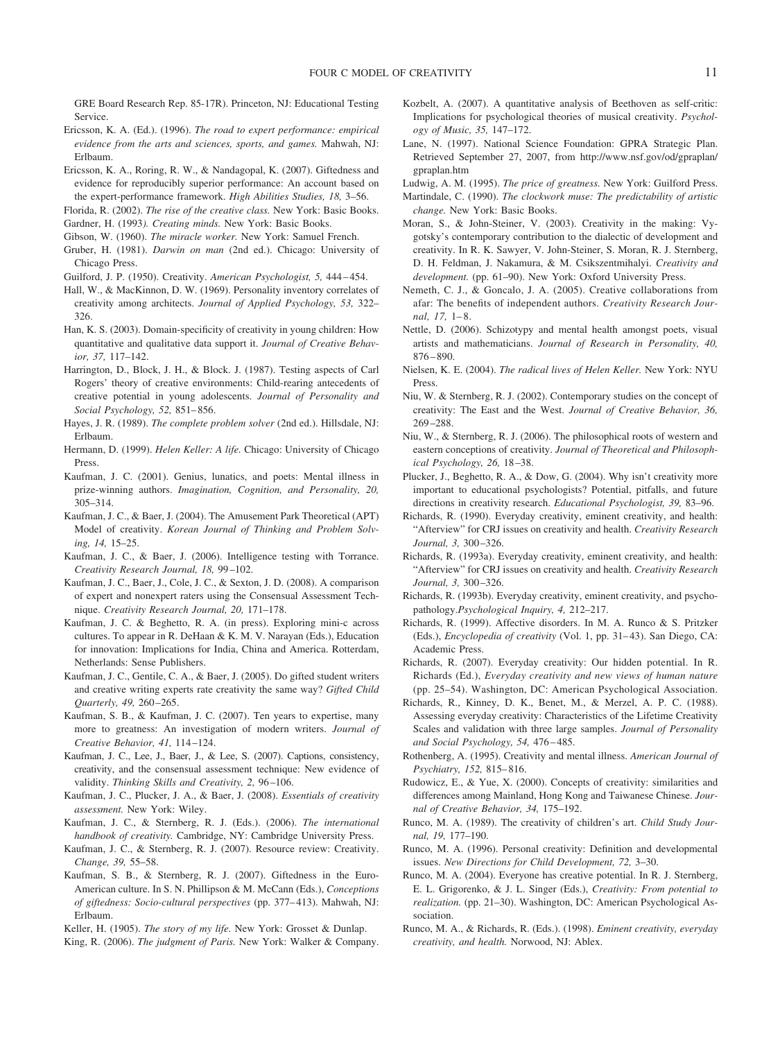GRE Board Research Rep. 85-17R). Princeton, NJ: Educational Testing **Service** 

- Ericsson, K. A. (Ed.). (1996). *The road to expert performance: empirical evidence from the arts and sciences, sports, and games.* Mahwah, NJ: Erlbaum.
- Ericsson, K. A., Roring, R. W., & Nandagopal, K. (2007). Giftedness and evidence for reproducibly superior performance: An account based on the expert-performance framework. *High Abilities Studies, 18,* 3–56.
- Florida, R. (2002). *The rise of the creative class.* New York: Basic Books.
- Gardner, H. (1993*). Creating minds.* New York: Basic Books.
- Gibson, W. (1960). *The miracle worker.* New York: Samuel French.
- Gruber, H. (1981). *Darwin on man* (2nd ed.). Chicago: University of Chicago Press.
- Guilford, J. P. (1950). Creativity. *American Psychologist, 5,* 444–454.
- Hall, W., & MacKinnon, D. W. (1969). Personality inventory correlates of creativity among architects. *Journal of Applied Psychology, 53,* 322– 326.
- Han, K. S. (2003). Domain-specificity of creativity in young children: How quantitative and qualitative data support it. *Journal of Creative Behavior, 37,* 117–142.
- Harrington, D., Block, J. H., & Block. J. (1987). Testing aspects of Carl Rogers' theory of creative environments: Child-rearing antecedents of creative potential in young adolescents. *Journal of Personality and Social Psychology, 52,* 851–856.
- Hayes, J. R. (1989). *The complete problem solver* (2nd ed.). Hillsdale, NJ: Erlbaum.
- Hermann, D. (1999). *Helen Keller: A life.* Chicago: University of Chicago Press.
- Kaufman, J. C. (2001). Genius, lunatics, and poets: Mental illness in prize-winning authors. *Imagination, Cognition, and Personality, 20,* 305–314.
- Kaufman, J. C., & Baer, J. (2004). The Amusement Park Theoretical (APT) Model of creativity. *Korean Journal of Thinking and Problem Solving, 14,* 15–25.
- Kaufman, J. C., & Baer, J. (2006). Intelligence testing with Torrance. *Creativity Research Journal, 18,* 99–102.
- Kaufman, J. C., Baer, J., Cole, J. C., & Sexton, J. D. (2008). A comparison of expert and nonexpert raters using the Consensual Assessment Technique. *Creativity Research Journal, 20,* 171–178.
- Kaufman, J. C. & Beghetto, R. A. (in press). Exploring mini-c across cultures. To appear in R. DeHaan & K. M. V. Narayan (Eds.), Education for innovation: Implications for India, China and America. Rotterdam, Netherlands: Sense Publishers.
- Kaufman, J. C., Gentile, C. A., & Baer, J. (2005). Do gifted student writers and creative writing experts rate creativity the same way? *Gifted Child Quarterly, 49,* 260–265.
- Kaufman, S. B., & Kaufman, J. C. (2007). Ten years to expertise, many more to greatness: An investigation of modern writers. *Journal of Creative Behavior, 41,* 114–124.
- Kaufman, J. C., Lee, J., Baer, J., & Lee, S. (2007). Captions, consistency, creativity, and the consensual assessment technique: New evidence of validity. *Thinking Skills and Creativity, 2,* 96–106.
- Kaufman, J. C., Plucker, J. A., & Baer, J. (2008). *Essentials of creativity assessment.* New York: Wiley.
- Kaufman, J. C., & Sternberg, R. J. (Eds.). (2006). *The international handbook of creativity.* Cambridge, NY: Cambridge University Press.
- Kaufman, J. C., & Sternberg, R. J. (2007). Resource review: Creativity. *Change, 39,* 55–58.
- Kaufman, S. B., & Sternberg, R. J. (2007). Giftedness in the Euro-American culture. In S. N. Phillipson & M. McCann (Eds.), *Conceptions of giftedness: Socio-cultural perspectives* (pp. 377–413). Mahwah, NJ: Erlbaum.
- Keller, H. (1905). *The story of my life.* New York: Grosset & Dunlap.
- King, R. (2006). *The judgment of Paris.* New York: Walker & Company.
- Kozbelt, A. (2007). A quantitative analysis of Beethoven as self-critic: Implications for psychological theories of musical creativity. *Psychology of Music, 35,* 147–172.
- Lane, N. (1997). National Science Foundation: GPRA Strategic Plan. Retrieved September 27, 2007, from http://www.nsf.gov/od/gpraplan/ gpraplan.htm
- Ludwig, A. M. (1995). *The price of greatness.* New York: Guilford Press.
- Martindale, C. (1990). *The clockwork muse: The predictability of artistic change.* New York: Basic Books.
- Moran, S., & John-Steiner, V. (2003). Creativity in the making: Vygotsky's contemporary contribution to the dialectic of development and creativity. In R. K. Sawyer, V. John-Steiner, S. Moran, R. J. Sternberg, D. H. Feldman, J. Nakamura, & M. Csikszentmihalyi. *Creativity and development.* (pp. 61–90). New York: Oxford University Press.
- Nemeth, C. J., & Goncalo, J. A. (2005). Creative collaborations from afar: The benefits of independent authors. *Creativity Research Journal, 17,* 1–8.
- Nettle, D. (2006). Schizotypy and mental health amongst poets, visual artists and mathematicians. *Journal of Research in Personality, 40,* 876–890.
- Nielsen, K. E. (2004). *The radical lives of Helen Keller.* New York: NYU Press.
- Niu, W. & Sternberg, R. J. (2002). Contemporary studies on the concept of creativity: The East and the West. *Journal of Creative Behavior, 36,* 269–288.
- Niu, W., & Sternberg, R. J. (2006). The philosophical roots of western and eastern conceptions of creativity. *Journal of Theoretical and Philosophical Psychology, 26,* 18–38.
- Plucker, J., Beghetto, R. A., & Dow, G. (2004). Why isn't creativity more important to educational psychologists? Potential, pitfalls, and future directions in creativity research. *Educational Psychologist, 39,* 83–96.
- Richards, R. (1990). Everyday creativity, eminent creativity, and health: "Afterview" for CRJ issues on creativity and health. *Creativity Research Journal, 3,* 300–326.
- Richards, R. (1993a). Everyday creativity, eminent creativity, and health: "Afterview" for CRJ issues on creativity and health. *Creativity Research Journal, 3,* 300–326.
- Richards, R. (1993b). Everyday creativity, eminent creativity, and psychopathology.*Psychological Inquiry, 4,* 212–217.
- Richards, R. (1999). Affective disorders. In M. A. Runco & S. Pritzker (Eds.), *Encyclopedia of creativity* (Vol. 1, pp. 31–43). San Diego, CA: Academic Press.
- Richards, R. (2007). Everyday creativity: Our hidden potential. In R. Richards (Ed.), *Everyday creativity and new views of human nature* (pp. 25–54). Washington, DC: American Psychological Association.
- Richards, R., Kinney, D. K., Benet, M., & Merzel, A. P. C. (1988). Assessing everyday creativity: Characteristics of the Lifetime Creativity Scales and validation with three large samples. *Journal of Personality and Social Psychology, 54,* 476–485.
- Rothenberg, A. (1995). Creativity and mental illness. *American Journal of Psychiatry, 152,* 815–816.
- Rudowicz, E., & Yue, X. (2000). Concepts of creativity: similarities and differences among Mainland, Hong Kong and Taiwanese Chinese. *Journal of Creative Behavior, 34,* 175–192.
- Runco, M. A. (1989). The creativity of children's art. *Child Study Journal, 19,* 177–190.
- Runco, M. A. (1996). Personal creativity: Definition and developmental issues. *New Directions for Child Development, 72,* 3–30.
- Runco, M. A. (2004). Everyone has creative potential. In R. J. Sternberg, E. L. Grigorenko, & J. L. Singer (Eds.), *Creativity: From potential to realization.* (pp. 21–30). Washington, DC: American Psychological Association.
- Runco, M. A., & Richards, R. (Eds.). (1998). *Eminent creativity, everyday creativity, and health.* Norwood, NJ: Ablex.